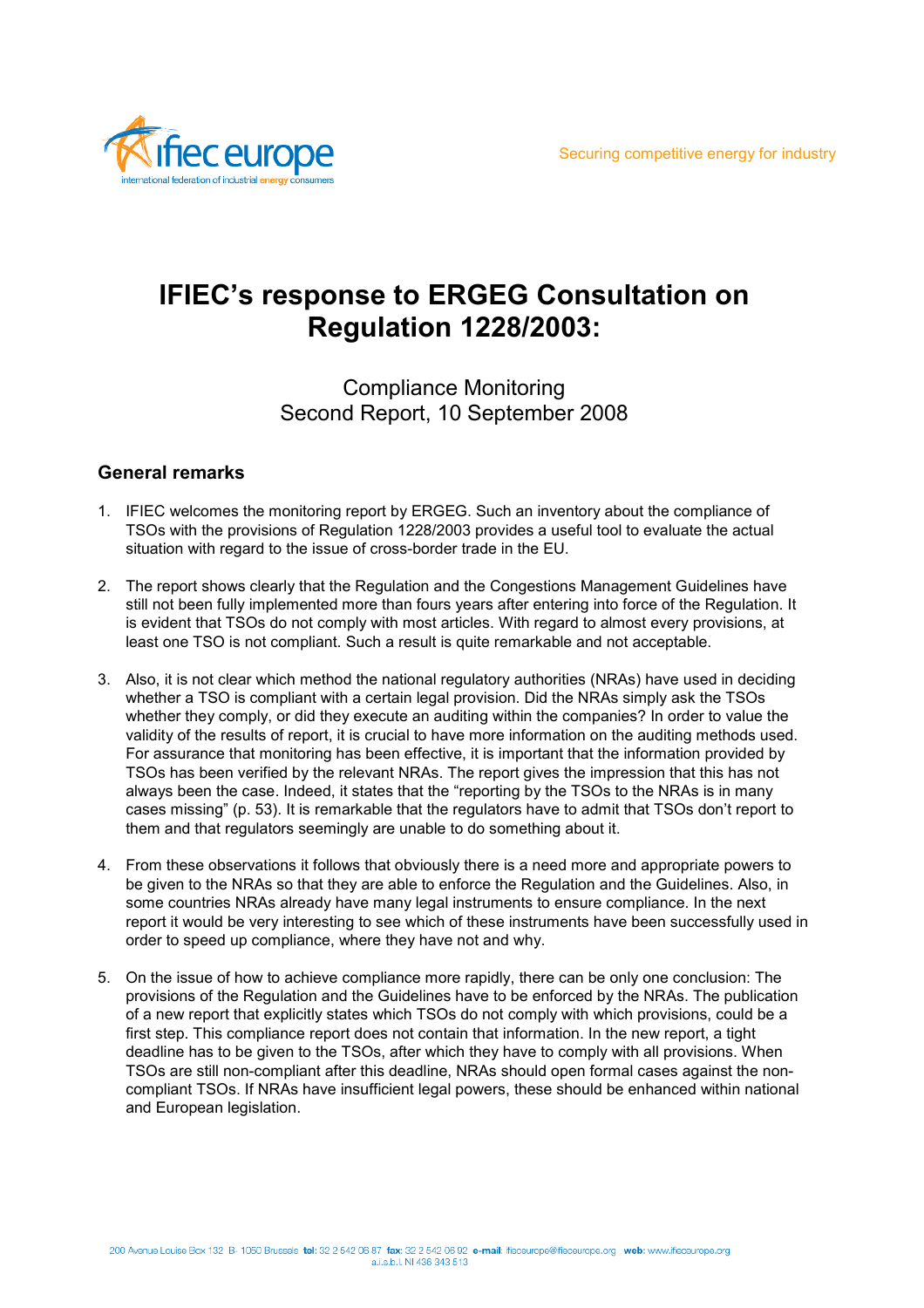

# **IFIEC's response to ERGEG Consultation on Regulation 1228/2003:**

## Compliance Monitoring Second Report, 10 September 2008

### **General remarks**

- 1. IFIEC welcomes the monitoring report by ERGEG. Such an inventory about the compliance of TSOs with the provisions of Regulation 1228/2003 provides a useful tool to evaluate the actual situation with regard to the issue of cross-border trade in the EU.
- 2. The report shows clearly that the Regulation and the Congestions Management Guidelines have still not been fully implemented more than fours years after entering into force of the Regulation. It is evident that TSOs do not comply with most articles. With regard to almost every provisions, at least one TSO is not compliant. Such a result is quite remarkable and not acceptable.
- 3. Also, it is not clear which method the national regulatory authorities (NRAs) have used in deciding whether a TSO is compliant with a certain legal provision. Did the NRAs simply ask the TSOs whether they comply, or did they execute an auditing within the companies? In order to value the validity of the results of report, it is crucial to have more information on the auditing methods used. For assurance that monitoring has been effective, it is important that the information provided by TSOs has been verified by the relevant NRAs. The report gives the impression that this has not always been the case. Indeed, it states that the "reporting by the TSOs to the NRAs is in many cases missing" (p. 53). It is remarkable that the regulators have to admit that TSOs don't report to them and that regulators seemingly are unable to do something about it.
- 4. From these observations it follows that obviously there is a need more and appropriate powers to be given to the NRAs so that they are able to enforce the Regulation and the Guidelines. Also, in some countries NRAs already have many legal instruments to ensure compliance. In the next report it would be very interesting to see which of these instruments have been successfully used in order to speed up compliance, where they have not and why.
- 5. On the issue of how to achieve compliance more rapidly, there can be only one conclusion: The provisions of the Regulation and the Guidelines have to be enforced by the NRAs. The publication of a new report that explicitly states which TSOs do not comply with which provisions, could be a first step. This compliance report does not contain that information. In the new report, a tight deadline has to be given to the TSOs, after which they have to comply with all provisions. When TSOs are still non-compliant after this deadline, NRAs should open formal cases against the noncompliant TSOs. If NRAs have insufficient legal powers, these should be enhanced within national and European legislation.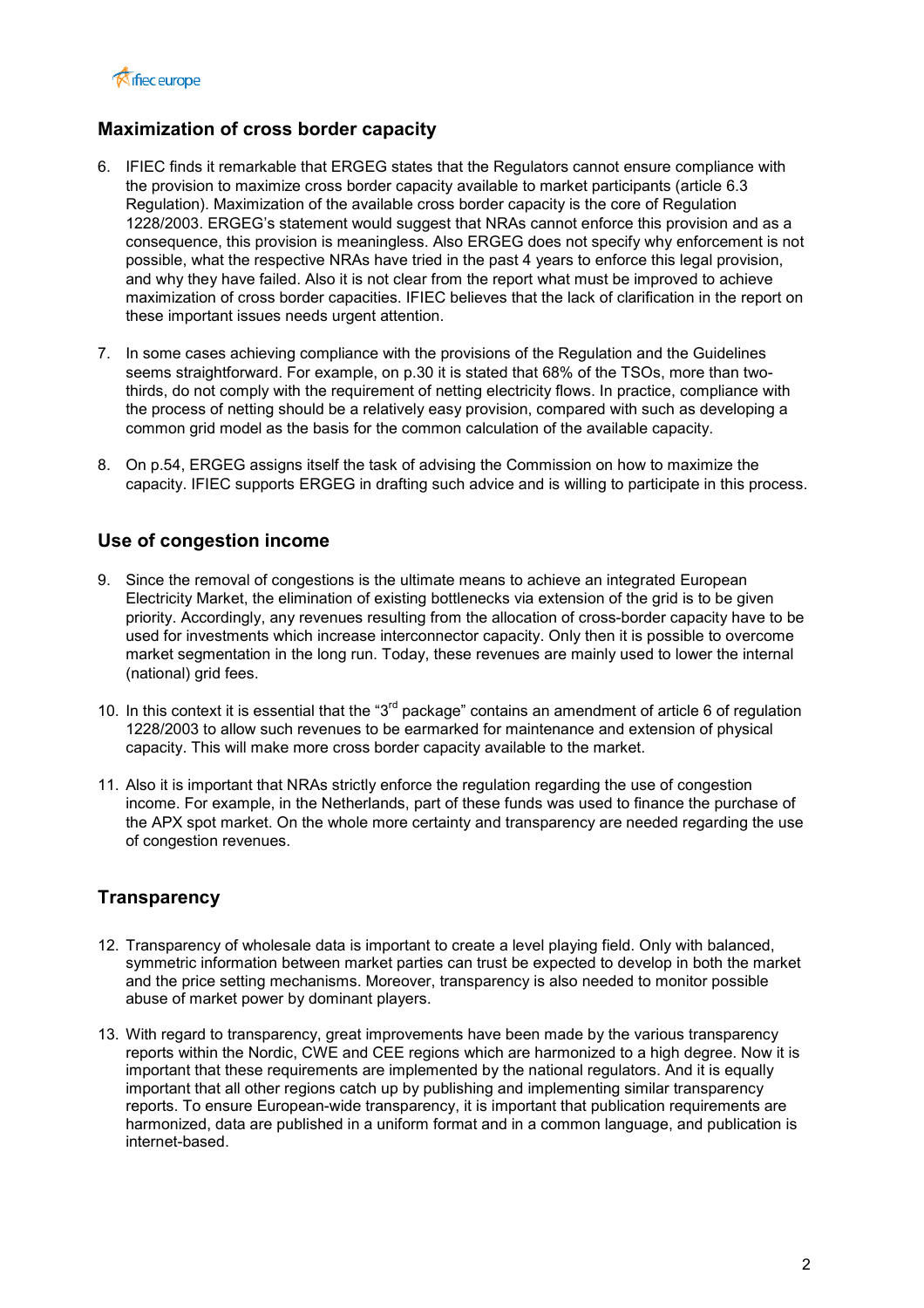

### **Maximization of cross border capacity**

- 6. IFIEC finds it remarkable that ERGEG states that the Regulators cannot ensure compliance with the provision to maximize cross border capacity available to market participants (article 6.3 Regulation). Maximization of the available cross border capacity is the core of Regulation 1228/2003. ERGEG's statement would suggest that NRAs cannot enforce this provision and as a consequence, this provision is meaningless. Also ERGEG does not specify why enforcement is not possible, what the respective NRAs have tried in the past 4 years to enforce this legal provision, and why they have failed. Also it is not clear from the report what must be improved to achieve maximization of cross border capacities. IFIEC believes that the lack of clarification in the report on these important issues needs urgent attention.
- 7. In some cases achieving compliance with the provisions of the Regulation and the Guidelines seems straightforward. For example, on p.30 it is stated that 68% of the TSOs, more than twothirds, do not comply with the requirement of netting electricity flows. In practice, compliance with the process of netting should be a relatively easy provision, compared with such as developing a common grid model as the basis for the common calculation of the available capacity.
- 8. On p.54, ERGEG assigns itself the task of advising the Commission on how to maximize the capacity. IFIEC supports ERGEG in drafting such advice and is willing to participate in this process.

#### **Use of congestion income**

- 9. Since the removal of congestions is the ultimate means to achieve an integrated European Electricity Market, the elimination of existing bottlenecks via extension of the grid is to be given priority. Accordingly, any revenues resulting from the allocation of cross-border capacity have to be used for investments which increase interconnector capacity. Only then it is possible to overcome market segmentation in the long run. Today, these revenues are mainly used to lower the internal (national) grid fees.
- 10. In this context it is essential that the "3<sup>rd</sup> package" contains an amendment of article 6 of regulation 1228/2003 to allow such revenues to be earmarked for maintenance and extension of physical capacity. This will make more cross border capacity available to the market.
- 11. Also it is important that NRAs strictly enforce the regulation regarding the use of congestion income. For example, in the Netherlands, part of these funds was used to finance the purchase of the APX spot market. On the whole more certainty and transparency are needed regarding the use of congestion revenues.

#### **Transparency**

- 12. Transparency of wholesale data is important to create a level playing field. Only with balanced, symmetric information between market parties can trust be expected to develop in both the market and the price setting mechanisms. Moreover, transparency is also needed to monitor possible abuse of market power by dominant players.
- 13. With regard to transparency, great improvements have been made by the various transparency reports within the Nordic, CWE and CEE regions which are harmonized to a high degree. Now it is important that these requirements are implemented by the national regulators. And it is equally important that all other regions catch up by publishing and implementing similar transparency reports. To ensure European-wide transparency, it is important that publication requirements are harmonized, data are published in a uniform format and in a common language, and publication is internet-based.